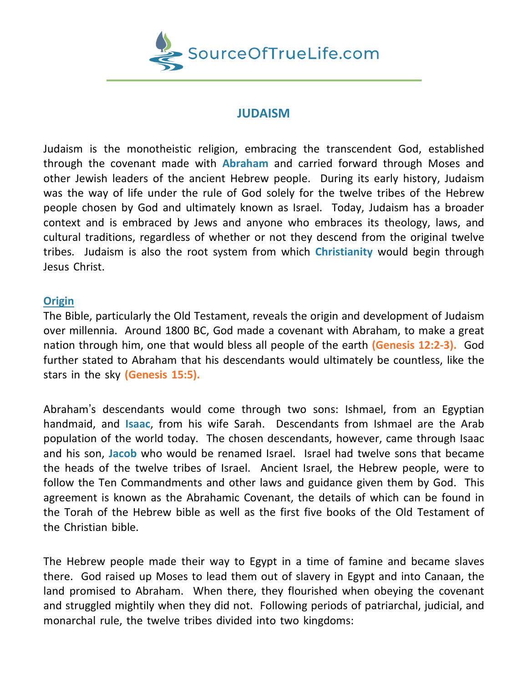

## **JUDAISM**

Judaism is the monotheistic religion, embracing the transcendent God, established through the covenant made with **Abraham** and carried forward through Moses and other Jewish leaders of the ancient Hebrew people. During its early history, Judaism was the way of life under the rule of God solely for the twelve tribes of the Hebrew people chosen by God and ultimately known as Israel. Today, Judaism has a broader context and is embraced by Jews and anyone who embraces its theology, laws, and cultural traditions, regardless of whether or not they descend from the original twelve tribes. Judaism is also the root system from which **Christianity** would begin through Jesus Christ.

## **Origin**

The Bible, particularly the Old Testament, reveals the origin and development of Judaism over millennia. Around 1800 BC, God made a covenant with Abraham, to make a great nation through him, one that would bless all people of the earth **(Genesis 12:2-3).** God further stated to Abraham that his descendants would ultimately be countless, like the stars in the sky **(Genesis 15:5).**

Abraham's descendants would come through two sons: Ishmael, from an Egyptian handmaid, and **Isaac**, from his wife Sarah. Descendants from Ishmael are the Arab population of the world today. The chosen descendants, however, came through Isaac and his son, **Jacob** who would be renamed Israel. Israel had twelve sons that became the heads of the twelve tribes of Israel. Ancient Israel, the Hebrew people, were to follow the Ten Commandments and other laws and guidance given them by God. This agreement is known as the Abrahamic Covenant, the details of which can be found in the Torah of the Hebrew bible as well as the first five books of the Old Testament of the Christian bible.

The Hebrew people made their way to Egypt in a time of famine and became slaves there. God raised up Moses to lead them out of slavery in Egypt and into Canaan, the land promised to Abraham. When there, they flourished when obeying the covenant and struggled mightily when they did not. Following periods of patriarchal, judicial, and monarchal rule, the twelve tribes divided into two kingdoms: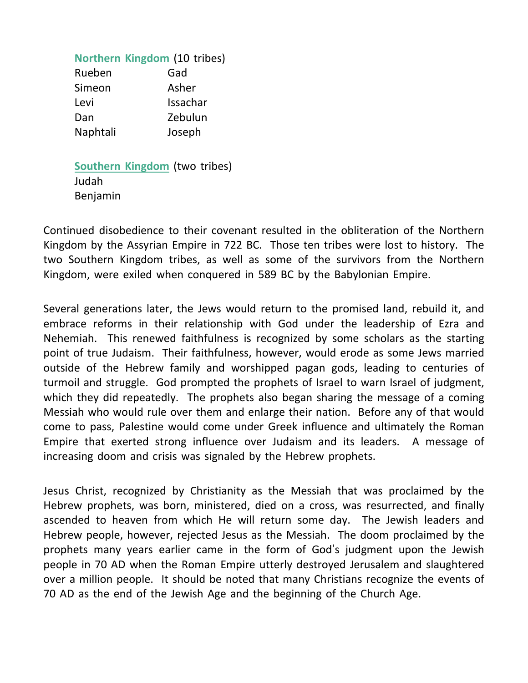**Northern Kingdom** (10 tribes) Rueben Gad Simeon Asher Levi Issachar Dan Zebulun Naphtali Joseph

**Southern Kingdom** (two tribes) Judah Benjamin

Continued disobedience to their covenant resulted in the obliteration of the Northern Kingdom by the Assyrian Empire in 722 BC. Those ten tribes were lost to history. The two Southern Kingdom tribes, as well as some of the survivors from the Northern Kingdom, were exiled when conquered in 589 BC by the Babylonian Empire.

Several generations later, the Jews would return to the promised land, rebuild it, and embrace reforms in their relationship with God under the leadership of Ezra and Nehemiah. This renewed faithfulness is recognized by some scholars as the starting point of true Judaism. Their faithfulness, however, would erode as some Jews married outside of the Hebrew family and worshipped pagan gods, leading to centuries of turmoil and struggle. God prompted the prophets of Israel to warn Israel of judgment, which they did repeatedly. The prophets also began sharing the message of a coming Messiah who would rule over them and enlarge their nation. Before any of that would come to pass, Palestine would come under Greek influence and ultimately the Roman Empire that exerted strong influence over Judaism and its leaders. A message of increasing doom and crisis was signaled by the Hebrew prophets.

Jesus Christ, recognized by Christianity as the Messiah that was proclaimed by the Hebrew prophets, was born, ministered, died on a cross, was resurrected, and finally ascended to heaven from which He will return some day. The Jewish leaders and Hebrew people, however, rejected Jesus as the Messiah. The doom proclaimed by the prophets many years earlier came in the form of God's judgment upon the Jewish people in 70 AD when the Roman Empire utterly destroyed Jerusalem and slaughtered over a million people. It should be noted that many Christians recognize the events of 70 AD as the end of the Jewish Age and the beginning of the Church Age.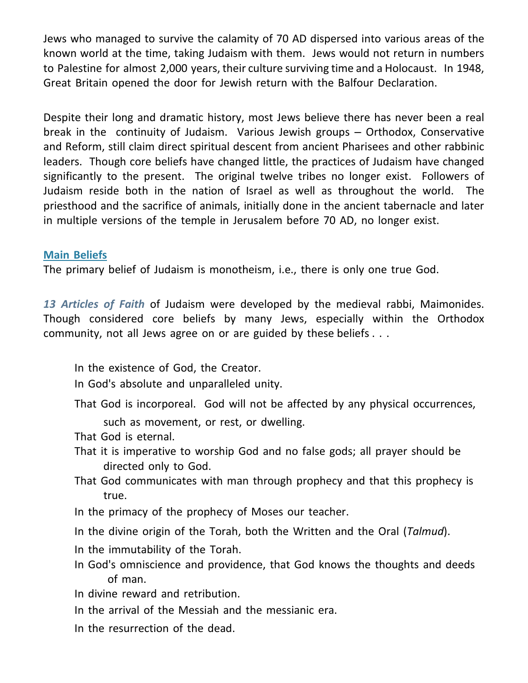Jews who managed to survive the calamity of 70 AD dispersed into various areas of the known world at the time, taking Judaism with them. Jews would not return in numbers to Palestine for almost 2,000 years, their culture surviving time and a Holocaust. In 1948, Great Britain opened the door for Jewish return with the Balfour Declaration.

Despite their long and dramatic history, most Jews believe there has never been a real break in the continuity of Judaism. Various Jewish groups – Orthodox, Conservative and Reform, still claim direct spiritual descent from ancient Pharisees and other rabbinic leaders. Though core beliefs have changed little, the practices of Judaism have changed significantly to the present. The original twelve tribes no longer exist. Followers of Judaism reside both in the nation of Israel as well as throughout the world. The priesthood and the sacrifice of animals, initially done in the ancient tabernacle and later in multiple versions of the temple in Jerusalem before 70 AD, no longer exist.

## **Main Beliefs**

The primary belief of Judaism is monotheism, i.e., there is only one true God.

*13 Articles of Faith* of Judaism were developed by the medieval rabbi, Maimonides. Though considered core beliefs by many Jews, especially within the Orthodox community, not all Jews agree on or are guided by these beliefs . . .

- In the existence of God, the Creator.
- In God's absolute and unparalleled unity.
- That God is incorporeal. God will not be affected by any physical occurrences,
	- such as movement, or rest, or dwelling.
- That God is eternal.
- That it is imperative to worship God and no false gods; all prayer should be directed only to God.
- That God communicates with man through prophecy and that this prophecy is true.
- In the primacy of the prophecy of Moses our teacher.
- In the divine origin of the Torah, both the Written and the Oral (*Talmud*).
- In the immutability of the Torah.
- In God's omniscience and providence, that God knows the thoughts and deeds of man.
- In divine reward and retribution.
- In the arrival of the Messiah and the messianic era.
- In the resurrection of the dead.